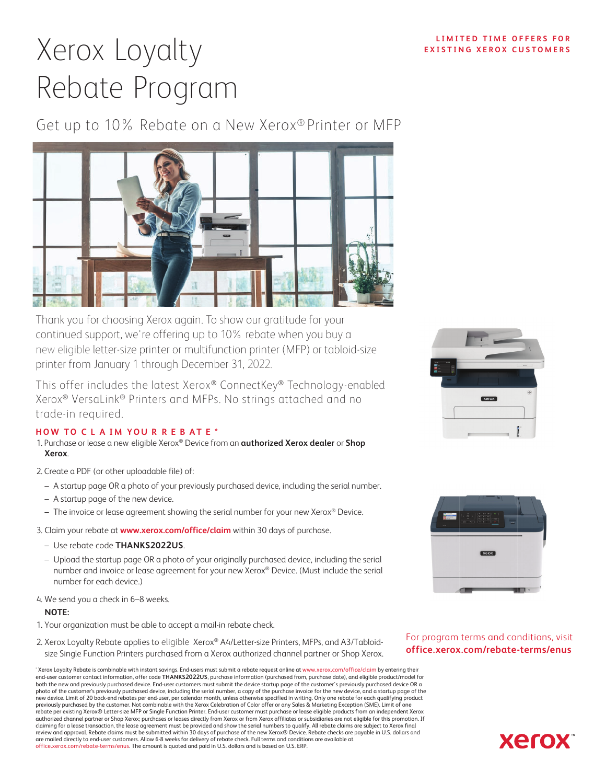# Xerox Loyalty Rebate Program

Get up to 10% Rebate on a New Xerox® Printer or MFP



Thank you for choosing Xerox again. To show our gratitude for your continued support, we're offering up to 10% rebate when you buy a new eligible letter-size printer or multifunction printer (MFP) or tabloid-size printer from January 1 through December 31, 2022.

This offer includes the latest Xerox® ConnectKey® Technology-enabled Xerox® VersaLink® Printers and MFPs. No strings attached and no trade-in required.

#### **HOW TO C L A IM YOU R R E B A T E \***

- 1. Purchase or lease a new eligible Xerox® Device from an **authorized Xerox dealer** or **Shop Xerox**.
- 2. Create a PDF (or other uploadable file) of:
	- A startup page OR a photo of your previously purchased device, including the serial number.
	- A startup page of the new device.
	- The invoice or lease agreement showing the serial number for your new Xerox® Device.
- Claim your rebate at **www.xerox.com/office/claim** within 30 days of purchase.
	- Use rebate code **THANKS202US**.
	- Upload the startup page OR a photo of your originally purchased device, including the serial number and invoice or lease agreement for your new Xerox® Device. (Must include the serial number for each device.)
- We send you a check in 6–8 weeks.

#### **NOTE:**

- 1. Your organization must be able to accept a mail-in rebate check.
- 2. Xerox Loyalty Rebate applies to eligible Xerox® A4/Letter-size Printers, MFPs, and A3/Tabloidsize Single Function Printers purchased from a Xerox authorized channel partner or Shop Xerox.

\* Xerox Loyalty Rebate is combinable with instant savings. End-users must submit a rebate request online at www.xerox.com/office/claim by entering their end-user customer contact information, offer code **THANKS2022US**, purchase information (purchased from, purchase date), and eligible product/model for both the new and previously purchased device. End-user customers must submit the device startup page of the customer's previously purchased device OR a photo of the customer's previously purchased device, including the serial number, a copy of the purchase invoice for the new device, and a startup page of the<br>new device. Limit of 20 back-end rebates per end-user, per cale previously purchased by the customer. Not combinable with the Xerox Celebration of Color offer or any Sales & Marketing Exception (SME). Limit of one rebate per existing Xerox® Letter-size MFP or Single Function Printer. End-user customer must purchase or lease eligible products from an independent Xerox<br>authorized channel partner or Shop Xerox; purchases or leases dire claiming for a lease transaction, the lease agreement must be provided and show the serial numbers to qualify. All rebate claims are subject to Xerox final<br>review and approval. Rebate claims must be submitted within 30 day are mailed directly to end-user customers. Allow 6-8 weeks for delivery of rebate check. Full terms and conditions are available at office.xerox.com/rebate-terms/enus. The amount is quoted and paid in U.S. dollars and is based on U.S. ERP.





For program terms and conditions, visit **office.xerox.com/rebate-terms/enus**